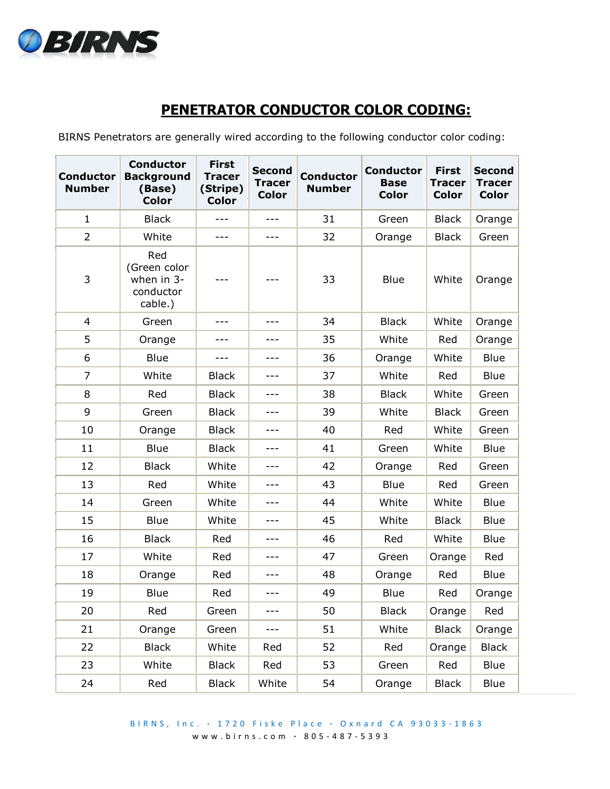

## **PENETRATOR CONDUCTOR COLOR CODING:**

BIRNS Penetrators are generally wired according to the following conductor color coding:

| <b>Conductor</b><br><b>Number</b> | <b>Conductor</b><br><b>Background</b><br>(Base)<br><b>Color</b> | <b>First</b><br><b>Tracer</b><br>(Stripe)<br><b>Color</b> | <b>Second</b><br><b>Tracer</b><br><b>Color</b> | <b>Conductor</b><br><b>Number</b> | <b>Conductor</b><br><b>Base</b><br><b>Color</b> | <b>First</b><br><b>Tracer</b><br><b>Color</b> | <b>Second</b><br><b>Tracer</b><br><b>Color</b> |
|-----------------------------------|-----------------------------------------------------------------|-----------------------------------------------------------|------------------------------------------------|-----------------------------------|-------------------------------------------------|-----------------------------------------------|------------------------------------------------|
| $\mathbf{1}$                      | <b>Black</b>                                                    | ---                                                       | $---$                                          | 31                                | Green                                           | <b>Black</b>                                  | Orange                                         |
| $\overline{2}$                    | White                                                           | ---                                                       | $---$                                          | 32                                | Orange                                          | <b>Black</b>                                  | Green                                          |
| 3                                 | Red<br>(Green color<br>when in 3-<br>conductor<br>cable.)       |                                                           |                                                | 33                                | <b>Blue</b>                                     | White                                         | Orange                                         |
| $\overline{4}$                    | Green                                                           | ---                                                       | $- - -$                                        | 34                                | <b>Black</b>                                    | White                                         | Orange                                         |
| 5                                 | Orange                                                          | ---                                                       | $---$                                          | 35                                | White                                           | Red                                           | Orange                                         |
| 6                                 | Blue                                                            | ---                                                       | ---                                            | 36                                | Orange                                          | White                                         | <b>Blue</b>                                    |
| $\overline{7}$                    | White                                                           | <b>Black</b>                                              | $---$                                          | 37                                | White                                           | Red                                           | <b>Blue</b>                                    |
| 8                                 | Red                                                             | <b>Black</b>                                              | ---                                            | 38                                | <b>Black</b>                                    | White                                         | Green                                          |
| 9                                 | Green                                                           | <b>Black</b>                                              | ---                                            | 39                                | White                                           | <b>Black</b>                                  | Green                                          |
| 10                                | Orange                                                          | <b>Black</b>                                              |                                                | 40                                | Red                                             | White                                         | Green                                          |
| 11                                | Blue                                                            | <b>Black</b>                                              |                                                | 41                                | Green                                           | White                                         | Blue                                           |
| 12                                | <b>Black</b>                                                    | White                                                     |                                                | 42                                | Orange                                          | Red                                           | Green                                          |
| 13                                | Red                                                             | White                                                     |                                                | 43                                | <b>Blue</b>                                     | Red                                           | Green                                          |
| 14                                | Green                                                           | White                                                     |                                                | 44                                | White                                           | White                                         | Blue                                           |
| 15                                | Blue                                                            | White                                                     |                                                | 45                                | White                                           | <b>Black</b>                                  | <b>Blue</b>                                    |
| 16                                | <b>Black</b>                                                    | Red                                                       | ---                                            | 46                                | Red                                             | White                                         | <b>Blue</b>                                    |
| 17                                | White                                                           | Red                                                       | ---                                            | 47                                | Green                                           | Orange                                        | Red                                            |
| 18                                | Orange                                                          | Red                                                       |                                                | 48                                | Orange                                          | Red                                           | <b>Blue</b>                                    |
| 19                                | Blue                                                            | Red                                                       | ---                                            | 49                                | <b>Blue</b>                                     | Red                                           | Orange                                         |
| 20                                | Red                                                             | Green                                                     | ---                                            | 50                                | <b>Black</b>                                    | Orange                                        | Red                                            |
| 21                                | Orange                                                          | Green                                                     | $---$                                          | 51                                | White                                           | <b>Black</b>                                  | Orange                                         |
| 22                                | <b>Black</b>                                                    | White                                                     | Red                                            | 52                                | Red                                             | Orange                                        | <b>Black</b>                                   |
| 23                                | White                                                           | <b>Black</b>                                              | Red                                            | 53                                | Green                                           | Red                                           | Blue                                           |
| 24                                | Red                                                             | <b>Black</b>                                              | White                                          | 54                                | Orange                                          | <b>Black</b>                                  | Blue                                           |

B I R N S , I n c . **∙** 1 7 2 0 F i s k e P l a c e **∙** O x n a r d C A 9 3 0 3 3 - 186 3 w w w . b i r n s . c o m **∙** 8 0 5 - 487 - 5393